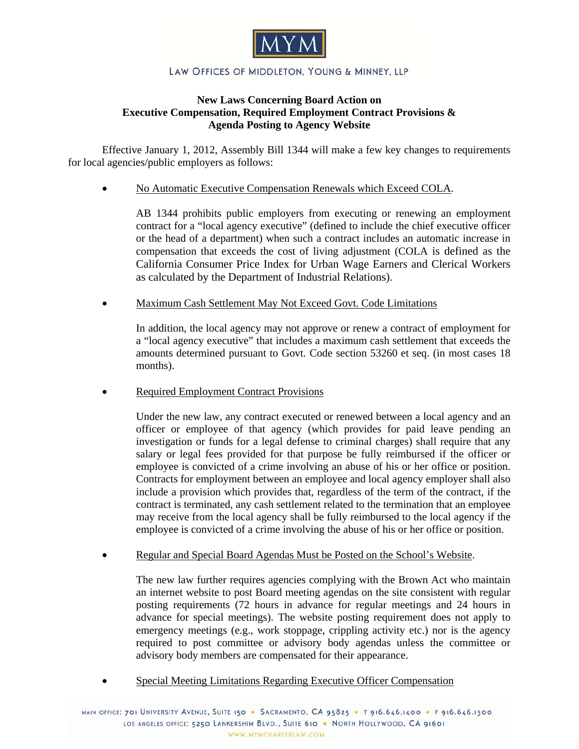

## LAW OFFICES OF MIDDLETON, YOUNG & MINNEY, LLP

## **New Laws Concerning Board Action on Executive Compensation, Required Employment Contract Provisions & Agenda Posting to Agency Website**

Effective January 1, 2012, Assembly Bill 1344 will make a few key changes to requirements for local agencies/public employers as follows:

No Automatic Executive Compensation Renewals which Exceed COLA.

AB 1344 prohibits public employers from executing or renewing an employment contract for a "local agency executive" (defined to include the chief executive officer or the head of a department) when such a contract includes an automatic increase in compensation that exceeds the cost of living adjustment (COLA is defined as the California Consumer Price Index for Urban Wage Earners and Clerical Workers as calculated by the Department of Industrial Relations).

Maximum Cash Settlement May Not Exceed Govt. Code Limitations

In addition, the local agency may not approve or renew a contract of employment for a "local agency executive" that includes a maximum cash settlement that exceeds the amounts determined pursuant to Govt. Code section 53260 et seq. (in most cases 18 months).

Required Employment Contract Provisions

Under the new law, any contract executed or renewed between a local agency and an officer or employee of that agency (which provides for paid leave pending an investigation or funds for a legal defense to criminal charges) shall require that any salary or legal fees provided for that purpose be fully reimbursed if the officer or employee is convicted of a crime involving an abuse of his or her office or position. Contracts for employment between an employee and local agency employer shall also include a provision which provides that, regardless of the term of the contract, if the contract is terminated, any cash settlement related to the termination that an employee may receive from the local agency shall be fully reimbursed to the local agency if the employee is convicted of a crime involving the abuse of his or her office or position.

Regular and Special Board Agendas Must be Posted on the School's Website.

The new law further requires agencies complying with the Brown Act who maintain an internet website to post Board meeting agendas on the site consistent with regular posting requirements (72 hours in advance for regular meetings and 24 hours in advance for special meetings). The website posting requirement does not apply to emergency meetings (e.g., work stoppage, crippling activity etc.) nor is the agency required to post committee or advisory body agendas unless the committee or advisory body members are compensated for their appearance.

Special Meeting Limitations Regarding Executive Officer Compensation